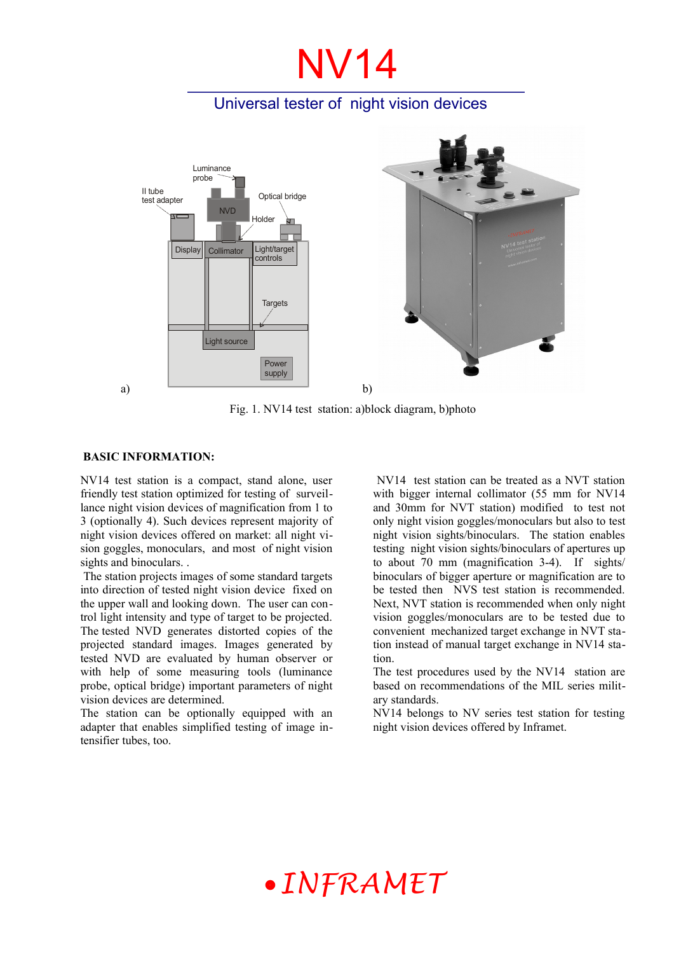# NV14

### Universal tester of night vision devices



Fig. 1. NV14 test station: a)block diagram, b)photo

#### **BASIC INFORMATION:**

NV14 test station is a compact, stand alone, user friendly test station optimized for testing of surveillance night vision devices of magnification from 1 to 3 (optionally 4). Such devices represent majority of night vision devices offered on market: all night vision goggles, monoculars, and most of night vision sights and binoculars. .

The station projects images of some standard targets into direction of tested night vision device fixed on the upper wall and looking down. The user can control light intensity and type of target to be projected. The tested NVD generates distorted copies of the projected standard images. Images generated by tested NVD are evaluated by human observer or with help of some measuring tools (luminance probe, optical bridge) important parameters of night vision devices are determined.

The station can be optionally equipped with an adapter that enables simplified testing of image intensifier tubes, too.

 NV14 test station can be treated as a NVT station with bigger internal collimator (55 mm for NV14) and 30mm for NVT station) modified to test not only night vision goggles/monoculars but also to test night vision sights/binoculars. The station enables testing night vision sights/binoculars of apertures up to about 70 mm (magnification 3-4). If sights/ binoculars of bigger aperture or magnification are to be tested then NVS test station is recommended. Next, NVT station is recommended when only night vision goggles/monoculars are to be tested due to convenient mechanized target exchange in NVT station instead of manual target exchange in NV14 station.

The test procedures used by the NV14 station are based on recommendations of the MIL series military standards.

NV14 belongs to NV series test station for testing night vision devices offered by Inframet.

## *INFRAMET*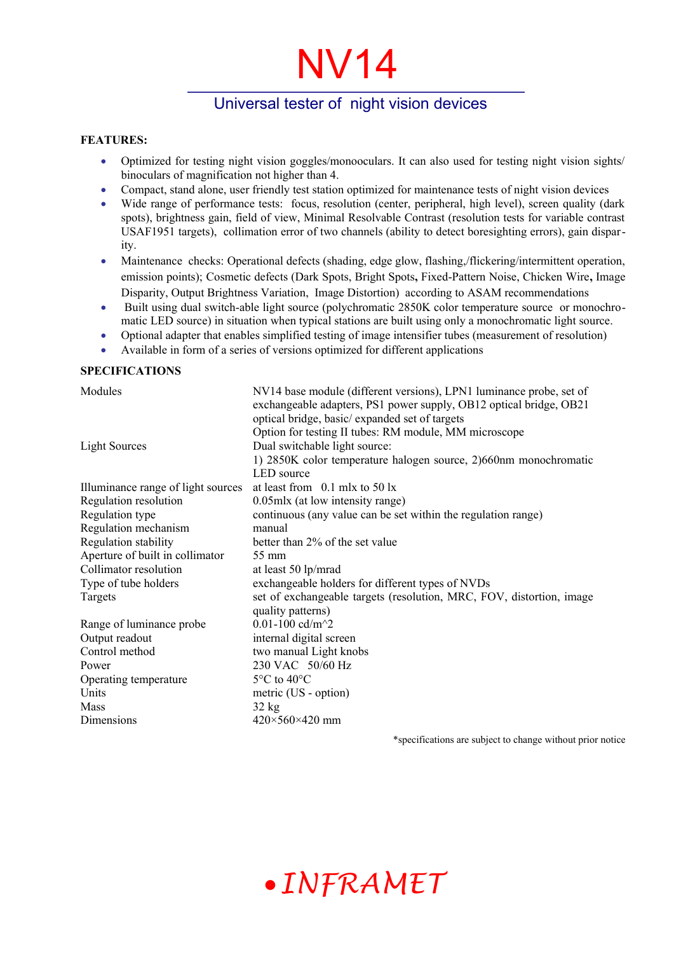# NV14

### Universal tester of night vision devices

#### **FEATURES:**

- Optimized for testing night vision goggles/monooculars. It can also used for testing night vision sights/ binoculars of magnification not higher than 4.
- Compact, stand alone, user friendly test station optimized for maintenance tests of night vision devices
- Wide range of performance tests: focus, resolution (center, peripheral, high level), screen quality (dark spots), brightness gain, field of view, Minimal Resolvable Contrast (resolution tests for variable contrast USAF1951 targets), collimation error of two channels (ability to detect boresighting errors), gain disparity.
- Maintenance checks: Operational defects (shading, edge glow, flashing,/flickering/intermittent operation, emission points); Cosmetic defects (Dark Spots, Bright Spots**,** Fixed-Pattern Noise, Chicken Wire**,** Image Disparity, Output Brightness Variation, Image Distortion) according to ASAM recommendations
- Built using dual switch-able light source (polychromatic 2850K color temperature source or monochromatic LED source) in situation when typical stations are built using only a monochromatic light source.
- Optional adapter that enables simplified testing of image intensifier tubes (measurement of resolution)
- Available in form of a series of versions optimized for different applications

#### **SPECIFICATIONS**

Modules NV14 base module (different versions), LPN1 luminance probe, set of exchangeable adapters, PS1 power supply, OB12 optical bridge, OB21 optical bridge, basic/ expanded set of targets Option for testing II tubes: RM module, MM microscope Light Sources Dual switchable light source: 1) 2850K color temperature halogen source, 2)660nm monochromatic LED source Illuminance range of light sources at least from 0.1 mlx to 50 lx Regulation resolution 0.05mlx (at low intensity range) Regulation type continuous (any value can be set within the regulation range) Regulation mechanism manual Regulation stability better than 2% of the set value Aperture of built in collimator 55 mm Collimator resolution at least 50 lp/mrad Type of tube holders exchangeable holders for different types of NVDs Targets set of exchangeable targets (resolution, MRC, FOV, distortion, image quality patterns) Range of luminance probe  $0.01-100 \text{ cd/m}^2$ Output readout internal digital screen Control method two manual Light knobs Power<br>
230 VAC 50/60 Hz<br>
Operating temperature<br>  $5^{\circ}$ C to 40°C Operating temperature Units metric (US - option) Mass  $32 \text{ kg}$ Dimensions  $420\times560\times420$  mm

\*specifications are subject to change without prior notice